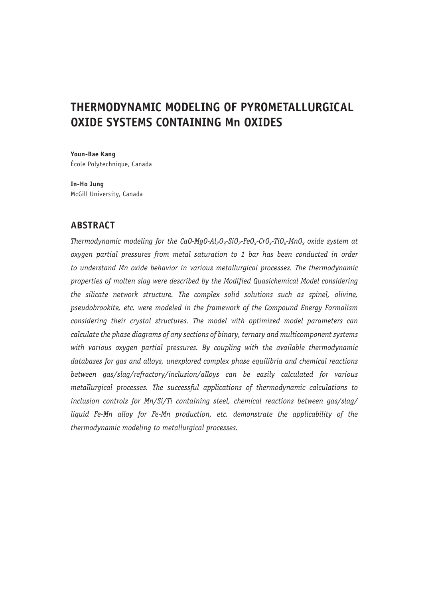# **THERMODYNAMIC MODELING OF PYROMETALLURGICAL OXIDE SYSTEMS CONTAINING Mn OXIDES**

**Youn-Bae Kang**  École Polytechnique, Canada

**In-Ho Jung** McGill University, Canada

# **ABSTRACT**

*Thermodynamic modeling for the CaO-MgO-Al<sub>2</sub>O<sub>3</sub>-SiO<sub>2</sub>-FeO<sub>x</sub>-CrO<sub>x</sub>-TiO<sub>x</sub>-MnO<sub>x</sub> oxide system at oxygen partial pressures from metal saturation to 1 bar has been conducted in order to understand Mn oxide behavior in various metallurgical processes. The thermodynamic properties of molten slag were described by the Modified Quasichemical Model considering the silicate network structure. The complex solid solutions such as spinel, olivine, pseudobrookite, etc. were modeled in the framework of the Compound Energy Formalism considering their crystal structures. The model with optimized model parameters can calculate the phase diagrams of any sections of binary, ternary and multicomponent systems with various oxygen partial pressures. By coupling with the available thermodynamic databases for gas and alloys, unexplored complex phase equilibria and chemical reactions between gas/slag/refractory/inclusion/alloys can be easily calculated for various metallurgical processes. The successful applications of thermodynamic calculations to inclusion controls for Mn/Si/Ti containing steel, chemical reactions between gas/slag/ liquid Fe-Mn alloy for Fe-Mn production, etc. demonstrate the applicability of the thermodynamic modeling to metallurgical processes.*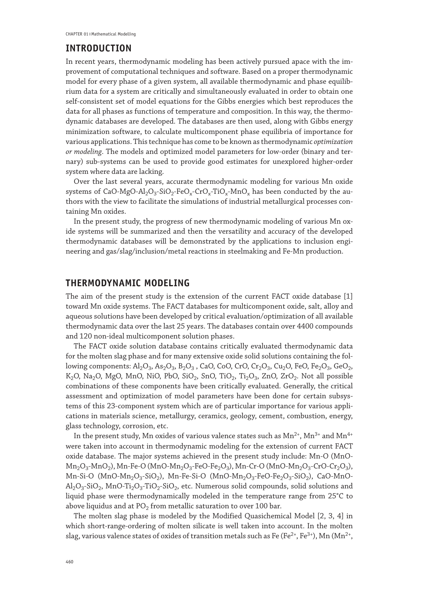### **INTRODUCTION**

In recent years, thermodynamic modeling has been actively pursued apace with the improvement of computational techniques and software. Based on a proper thermodynamic model for every phase of a given system, all available thermodynamic and phase equilibrium data for a system are critically and simultaneously evaluated in order to obtain one self-consistent set of model equations for the Gibbs energies which best reproduces the data for all phases as functions of temperature and composition. In this way, the thermodynamic databases are developed. The databases are then used, along with Gibbs energy minimization software, to calculate multicomponent phase equilibria of importance for various applications. This technique has come to be known as thermodynamic *optimization or modeling*. The models and optimized model parameters for low-order (binary and ternary) sub-systems can be used to provide good estimates for unexplored higher-order system where data are lacking.

Over the last several years, accurate thermodynamic modeling for various Mn oxide systems of CaO-MgO-Al<sub>2</sub>O<sub>3</sub>-SiO<sub>2</sub>-FeO<sub>x</sub>-CrO<sub>x</sub>-TiO<sub>x</sub>-MnO<sub>x</sub> has been conducted by the authors with the view to facilitate the simulations of industrial metallurgical processes containing Mn oxides.

In the present study, the progress of new thermodynamic modeling of various Mn oxide systems will be summarized and then the versatility and accuracy of the developed thermodynamic databases will be demonstrated by the applications to inclusion engineering and gas/slag/inclusion/metal reactions in steelmaking and Fe-Mn production.

# **THERMODYNAMIC MODELING**

The aim of the present study is the extension of the current FACT oxide database [1] toward Mn oxide systems. The FACT databases for multicomponent oxide, salt, alloy and aqueous solutions have been developed by critical evaluation/optimization of all available thermodynamic data over the last 25 years. The databases contain over 4400 compounds and 120 non-ideal multicomponent solution phases.

The FACT oxide solution database contains critically evaluated thermodynamic data for the molten slag phase and for many extensive oxide solid solutions containing the following components:  $Al_2O_3$ ,  $As_2O_3$ ,  $B_2O_3$ , CaO, CoO, CrO, Cr<sub>2</sub>O<sub>3</sub>, Cu<sub>2</sub>O, FeO, Fe<sub>2</sub>O<sub>3</sub>, GeO<sub>2</sub>, K<sub>2</sub>O, Na<sub>2</sub>O, MgO, MnO, NiO, PbO, SiO<sub>2</sub>, SnO, TiO<sub>2</sub>, Ti<sub>2</sub>O<sub>3</sub>, ZnO, ZrO<sub>2</sub>. Not all possible combinations of these components have been critically evaluated. Generally, the critical assessment and optimization of model parameters have been done for certain subsystems of this 23-component system which are of particular importance for various applications in materials science, metallurgy, ceramics, geology, cement, combustion, energy, glass technology, corrosion, etc.

In the present study, Mn oxides of various valence states such as  $Mn^{2+}$ ,  $Mn^{3+}$  and  $Mn^{4+}$ were taken into account in thermodynamic modeling for the extension of current FACT oxide database. The major systems achieved in the present study include: Mn-O (MnO- $Mn_2O_3-MnO_2$ ), Mn-Fe-O (MnO-Mn<sub>2</sub>O<sub>3</sub>-FeO-Fe<sub>2</sub>O<sub>3</sub>), Mn-Cr-O (MnO-Mn<sub>2</sub>O<sub>3</sub>-CrO-Cr<sub>2</sub>O<sub>3</sub>), Mn-Si-O (MnO-Mn<sub>2</sub>O<sub>3</sub>-SiO<sub>2</sub>), Mn-Fe-Si-O (MnO-Mn<sub>2</sub>O<sub>3</sub>-FeO-Fe<sub>2</sub>O<sub>3</sub>-SiO<sub>2</sub>), CaO-MnO- $Al_2O_3-SiO_2$ , MnO-Ti<sub>2</sub>O<sub>3</sub>-TiO<sub>2</sub>-SiO<sub>2</sub>, etc. Numerous solid compounds, solid solutions and liquid phase were thermodynamically modeled in the temperature range from 25°C to above liquidus and at  $PO<sub>2</sub>$  from metallic saturation to over 100 bar.

The molten slag phase is modeled by the Modified Quasichemical Model [2, 3, 4] in which short-range-ordering of molten silicate is well taken into account. In the molten slag, various valence states of oxides of transition metals such as Fe (Fe<sup>2+</sup>, Fe<sup>3+</sup>), Mn (Mn<sup>2+</sup>,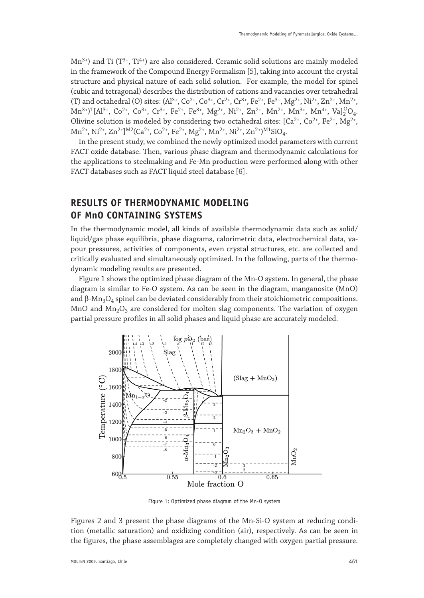$Mn^{3+}$ ) and Ti ( $T^{3+}$ ,  $Ti^{4+}$ ) are also considered. Ceramic solid solutions are mainly modeled in the framework of the Compound Energy Formalism [5], taking into account the crystal structure and physical nature of each solid solution. For example, the model for spinel (cubic and tetragonal) describes the distribution of cations and vacancies over tetrahedral (T) and octahedral (O) sites:  $(Al^{3+}, Co^{2+}, Co^{3+}, Cr^{2+}, Cr^{3+}, Fe^{2+}, Fe^{3+}, Mg^{2+}, Ni^{2+}, Zn^{2+}, Mn^{2+}, Qn^{2+}, Qn^{2+}, Cn^{2+}, Cn^{2+}, Cn^{2+}, Ce^{2+}, Fn^{2+}, Qn^{2+}, Qn^{2+}, Qn^{2+}, Qn^{2+}, Qn^{2+}, Qn^{2+}, Qn^{2+}, Qn^{2+}, Qn^{2+}, Qn^{2+}, Qn^{2+}, Qn^{2+}, Qn^{2+}, Qn^{2+}, Qn^{2+}, Qn$  $Mn^{3+}$ )<sup>T</sup>[Al<sup>3+</sup>, Co<sup>2+</sup>, Co<sup>3+</sup>, Cr<sup>3+</sup>, Fe<sup>2+</sup>, Fe<sup>3+</sup>, Mg<sup>2+</sup>, Ni<sup>2+</sup>, Zn<sup>2+</sup>, Mn<sup>2+</sup>, Mn<sup>3+</sup>, Mn<sup>4+</sup>, Va]<sub>2</sub><sup>O</sup>Q<sub>4</sub>. Olivine solution is modeled by considering two octahedral sites:  $[Ca<sup>2+</sup>, Co<sup>2+</sup>, He<sup>2+</sup>, Mg<sup>2+</sup>,$  $Mn^{2+}$ , Ni<sup>2+</sup>, Zn<sup>2+</sup>]<sup>M2</sup>(Ca<sup>2+</sup>, Co<sup>2+</sup>, Fe<sup>2+</sup>, Mg<sup>2+</sup>, Mn<sup>2+</sup>, Ni<sup>2+</sup>, Zn<sup>2+</sup>)<sup>M1</sup>SiO<sub>4</sub>.

In the present study, we combined the newly optimized model parameters with current FACT oxide database. Then, various phase diagram and thermodynamic calculations for the applications to steelmaking and Fe-Mn production were performed along with other FACT databases such as FACT liquid steel database [6].

# **RESULTS OF THERMODYNAMIC MODELING OF MnO CONTAINING SYSTEMS**

In the thermodynamic model, all kinds of available thermodynamic data such as solid/ liquid/gas phase equilibria, phase diagrams, calorimetric data, electrochemical data, vapour pressures, activities of components, even crystal structures, etc. are collected and critically evaluated and simultaneously optimized. In the following, parts of the thermodynamic modeling results are presented.

Figure 1 shows the optimized phase diagram of the Mn-O system. In general, the phase diagram is similar to Fe-O system. As can be seen in the diagram, manganosite (MnO) and  $β$ -Mn<sub>3</sub>O<sub>4</sub> spinel can be deviated considerably from their stoichiometric compositions. MnO and  $Mn_2O_3$  are considered for molten slag components. The variation of oxygen partial pressure profiles in all solid phases and liquid phase are accurately modeled.



Figure 1: Optimized phase diagram of the Mn-O system

Figures 2 and 3 present the phase diagrams of the Mn-Si-O system at reducing condition (metallic saturation) and oxidizing condition (air), respectively. As can be seen in the figures, the phase assemblages are completely changed with oxygen partial pressure.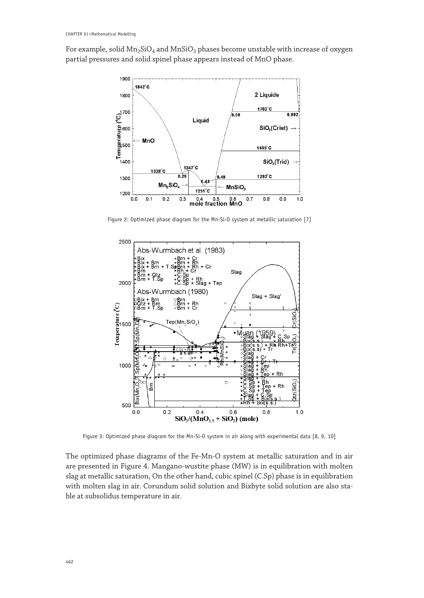For example, solid  $Mn_2SiO_4$  and  $MnSiO_3$  phases become unstable with increase of oxygen partial pressures and solid spinel phase appears instead of MnO phase.



Figure 2: Optimized phase diagram for the Mn-Si-O system at metallic saturation [7]



Figure 3: Optimized phase diagram for the Mn-Si-O system in air along with experimental data [8, 9, 10]

The optimized phase diagrams of the Fe-Mn-O system at metallic saturation and in air are presented in Figure 4. Mangano-wustite phase (MW) is in equilibration with molten slag at metallic saturation, On the other hand, cubic spinel (C.Sp) phase is in equilibration with molten slag in air. Corundum solid solution and Bixbyte solid solution are also stable at subsolidus temperature in air.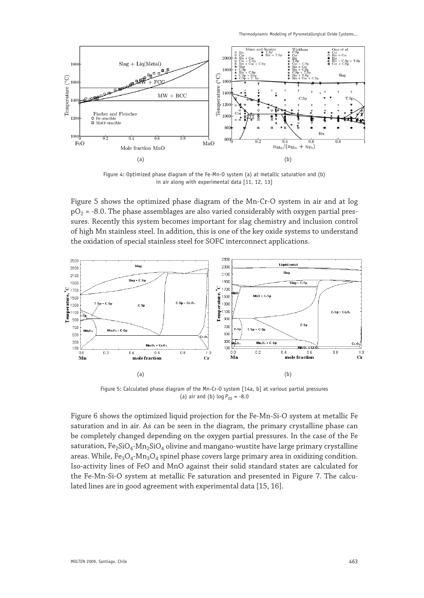

Figure 4: Optimized phase diagram of the Fe-Mn-O system (a) at metallic saturation and (b) in air along with experimental data [11, 12, 13]

Figure 5 shows the optimized phase diagram of the Mn-Cr-O system in air and at log  $pO<sub>2</sub> = -8.0$ . The phase assemblages are also varied considerably with oxygen partial pressures. Recently this system becomes important for slag chemistry and inclusion control of high Mn stainless steel. In addition, this is one of the key oxide systems to understand the oxidation of special stainless steel for SOFC interconnect applications.



Figure 5: Calculated phase diagram of the Mn-Cr-O system [14a, b] at various partial pressures (a) air and (b)  $\log P_{02} = -8.0$ 

Figure 6 shows the optimized liquid projection for the Fe-Mn-Si-O system at metallic Fe saturation and in air. As can be seen in the diagram, the primary crystalline phase can be completely changed depending on the oxygen partial pressures. In the case of the Fe saturation,  $Fe_2SiO_4-Mn_2SiO_4$  olivine and mangano-wustite have large primary crystalline areas. While,  $Fe<sub>3</sub>O<sub>4</sub>$ -Mn<sub>3</sub>O<sub>4</sub> spinel phase covers large primary area in oxidizing condition. Iso-activity lines of FeO and MnO against their solid standard states are calculated for the Fe-Mn-Si-O system at metallic Fe saturation and presented in Figure 7. The calculated lines are in good agreement with experimental data [15, 16].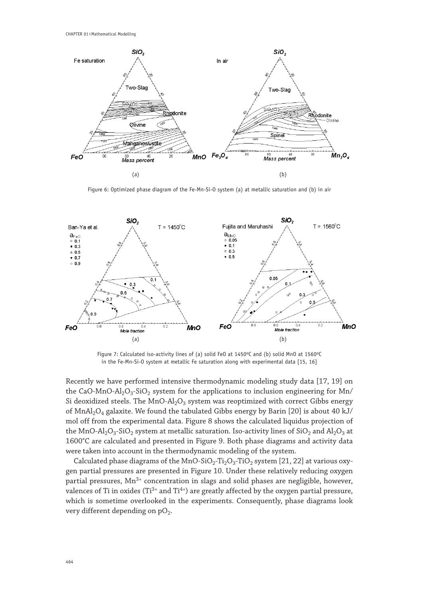

Figure 6: Optimized phase diagram of the Fe-Mn-Si-O system (a) at metallic saturation and (b) in air



Figure 7: Calculated iso-activity lines of (a) solid FeO at 1450°C and (b) solid MnO at 1560°C in the Fe-Mn-Si-O system at metallic Fe saturation along with experimental data [15, 16]

Recently we have performed intensive thermodynamic modeling study data [17, 19] on the CaO-MnO-Al<sub>2</sub>O<sub>3</sub>-SiO<sub>2</sub> system for the applications to inclusion engineering for Mn/ Si deoxidized steels. The  $MnO-Al<sub>2</sub>O<sub>3</sub>$  system was reoptimized with correct Gibbs energy of MnAl<sub>2</sub>O<sub>4</sub> galaxite. We found the tabulated Gibbs energy by Barin [20] is about 40 kJ/ mol off from the experimental data. Figure 8 shows the calculated liquidus projection of the MnO-Al<sub>2</sub>O<sub>3</sub>-SiO<sub>2</sub> system at metallic saturation. Iso-activity lines of SiO<sub>2</sub> and Al<sub>2</sub>O<sub>3</sub> at 1600°C are calculated and presented in Figure 9. Both phase diagrams and activity data were taken into account in the thermodynamic modeling of the system.

Calculated phase diagrams of the MnO-SiO<sub>2</sub>-Ti<sub>2</sub>O<sub>3</sub>-TiO<sub>2</sub> system [21, 22] at various oxygen partial pressures are presented in Figure 10. Under these relatively reducing oxygen partial pressures,  $Mn^{3+}$  concentration in slags and solid phases are negligible, however, valences of Ti in oxides (Ti<sup>3+</sup> and Ti<sup>4+</sup>) are greatly affected by the oxygen partial pressure, which is sometime overlooked in the experiments. Consequently, phase diagrams look very different depending on  $pO_2$ .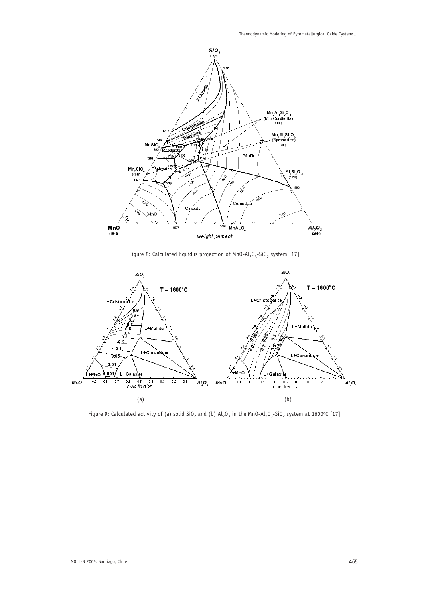



Figure 8: Calculated liquidus projection of  $MnO-Al_2O_3-SiO_2$  system [17]



Figure 9: Calculated activity of (a) solid  $SiO_2$  and (b)  $Al_2O_3$  in the MnO-Al<sub>2</sub>O<sub>3</sub>-SiO<sub>2</sub> system at 1600°C [17]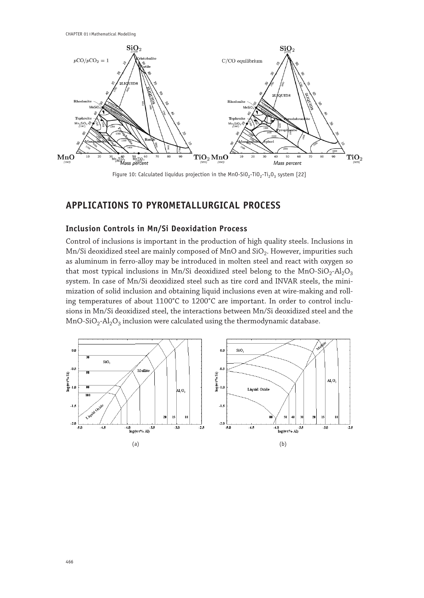

Figure 10: Calculated liquidus projection in the Mn0-SiO<sub>2</sub>-TiO<sub>2</sub>-Ti<sub>2</sub>O<sub>3</sub> system [22]

# **APPLICATIONS TO PYROMETALLURGICAL PROCESS**

#### **Inclusion Controls in Mn/Si Deoxidation Process**

Control of inclusions is important in the production of high quality steels. Inclusions in Mn/Si deoxidized steel are mainly composed of MnO and SiO<sub>2</sub>. However, impurities such as aluminum in ferro-alloy may be introduced in molten steel and react with oxygen so that most typical inclusions in Mn/Si deoxidized steel belong to the MnO-SiO<sub>2</sub>-Al<sub>2</sub>O<sub>3</sub> system. In case of Mn/Si deoxidized steel such as tire cord and INVAR steels, the minimization of solid inclusion and obtaining liquid inclusions even at wire-making and rolling temperatures of about 1100°C to 1200°C are important. In order to control inclusions in Mn/Si deoxidized steel, the interactions between Mn/Si deoxidized steel and the MnO-SiO<sub>2</sub>-Al<sub>2</sub>O<sub>3</sub> inclusion were calculated using the thermodynamic database.

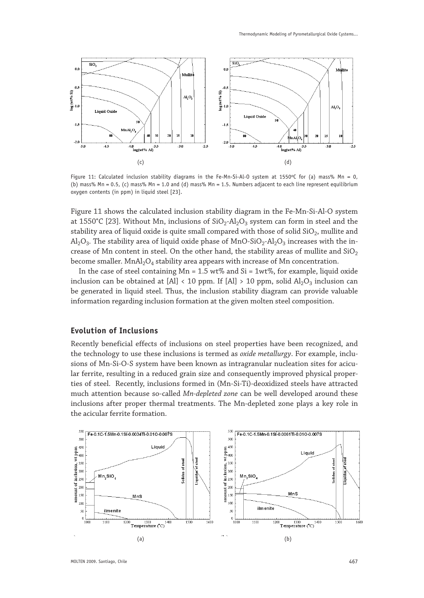

Figure 11: Calculated inclusion stability diagrams in the Fe-Mn-Si-Al-O system at 1550°C for (a) mass% Mn = 0, (b) mass% Mn = 0.5, (c) mass% Mn = 1.0 and (d) mass% Mn = 1.5. Numbers adjacent to each line represent equilibrium oxygen contents (in ppm) in liquid steel [23].

Figure 11 shows the calculated inclusion stability diagram in the Fe-Mn-Si-Al-O system at 1550°C [23]. Without Mn, inclusions of  $SiO<sub>2</sub>-Al<sub>2</sub>O<sub>3</sub>$  system can form in steel and the stability area of liquid oxide is quite small compared with those of solid  $SiO<sub>2</sub>$ , mullite and  $A<sub>1</sub>Q<sub>3</sub>$ . The stability area of liquid oxide phase of MnO-SiO<sub>2</sub>-Al<sub>2</sub>O<sub>3</sub> increases with the increase of Mn content in steel. On the other hand, the stability areas of mullite and  $SiO<sub>2</sub>$ become smaller.  $MnAl<sub>2</sub>O<sub>4</sub>$  stability area appears with increase of Mn concentration.

In the case of steel containing  $Mn = 1.5$  wt% and  $Si = 1wt$ %, for example, liquid oxide inclusion can be obtained at [Al] < 10 ppm. If [Al] > 10 ppm, solid  $Al_2O_3$  inclusion can be generated in liquid steel. Thus, the inclusion stability diagram can provide valuable information regarding inclusion formation at the given molten steel composition.

#### **Evolution of Inclusions**

Recently beneficial effects of inclusions on steel properties have been recognized, and the technology to use these inclusions is termed as *oxide metallurgy*. For example, inclusions of Mn-Si-O-S system have been known as intragranular nucleation sites for acicular ferrite, resulting in a reduced grain size and consequently improved physical properties of steel. Recently, inclusions formed in (Mn-Si-Ti)-deoxidized steels have attracted much attention because so-called *Mn-depleted zone* can be well developed around these inclusions after proper thermal treatments. The Mn-depleted zone plays a key role in the acicular ferrite formation.

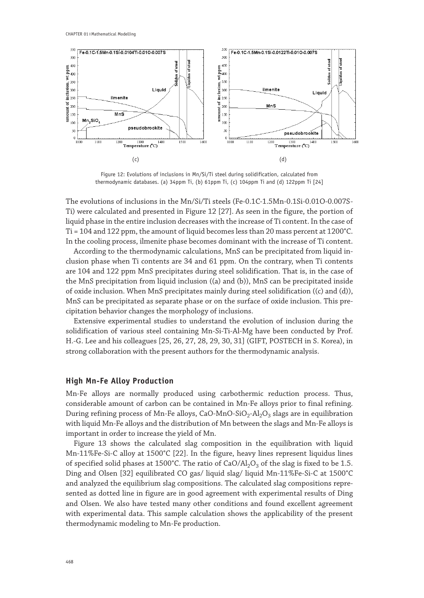

Figure 12: Evolutions of inclusions in Mn/Si/Ti steel during solidification, calculated from thermodynamic databases. (a) 34ppm Ti, (b) 61ppm Ti, (c) 104ppm Ti and (d) 122ppm Ti [24]

The evolutions of inclusions in the Mn/Si/Ti steels (Fe-0.1C-1.5Mn-0.1Si-0.01O-0.007S-Ti) were calculated and presented in Figure 12 [27]. As seen in the figure, the portion of liquid phase in the entire inclusion decreases with the increase of Ti content. In the case of Ti = 104 and 122 ppm, the amount of liquid becomes less than 20 mass percent at 1200°C. In the cooling process, ilmenite phase becomes dominant with the increase of Ti content.

According to the thermodynamic calculations, MnS can be precipitated from liquid inclusion phase when Ti contents are 34 and 61 ppm. On the contrary, when Ti contents are 104 and 122 ppm MnS precipitates during steel solidification. That is, in the case of the MnS precipitation from liquid inclusion ((a) and (b)), MnS can be precipitated inside of oxide inclusion. When MnS precipitates mainly during steel solidification ((c) and (d)), MnS can be precipitated as separate phase or on the surface of oxide inclusion. This precipitation behavior changes the morphology of inclusions.

Extensive experimental studies to understand the evolution of inclusion during the solidification of various steel containing Mn-Si-Ti-Al-Mg have been conducted by Prof. H.-G. Lee and his colleagues [25, 26, 27, 28, 29, 30, 31] (GIFT, POSTECH in S. Korea), in strong collaboration with the present authors for the thermodynamic analysis.

#### **High Mn-Fe Alloy Production**

Mn-Fe alloys are normally produced using carbothermic reduction process. Thus, considerable amount of carbon can be contained in Mn-Fe alloys prior to final refining. During refining process of Mn-Fe alloys, CaO-MnO-SiO<sub>2</sub>-Al<sub>2</sub>O<sub>3</sub> slags are in equilibration with liquid Mn-Fe alloys and the distribution of Mn between the slags and Mn-Fe alloys is important in order to increase the yield of Mn.

Figure 13 shows the calculated slag composition in the equilibration with liquid Mn-11%Fe-Si-C alloy at 1500°C [22]. In the figure, heavy lines represent liquidus lines of specified solid phases at 1500°C. The ratio of  $CaO/Al_2O_3$  of the slag is fixed to be 1.5. Ding and Olsen [32] equilibrated CO gas/ liquid slag/ liquid Mn-11%Fe-Si-C at 1500°C and analyzed the equilibrium slag compositions. The calculated slag compositions represented as dotted line in figure are in good agreement with experimental results of Ding and Olsen. We also have tested many other conditions and found excellent agreement with experimental data. This sample calculation shows the applicability of the present thermodynamic modeling to Mn-Fe production.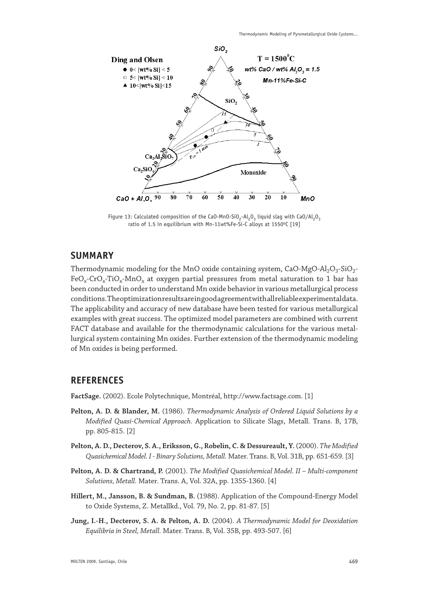

Figure 13: Calculated composition of the CaO-MnO-SiO<sub>2</sub>-Al<sub>2</sub>O<sub>3</sub> liquid slag with CaO/Al<sub>2</sub>O<sub>3</sub> ratio of 1.5 in equilibrium with Mn-11wt%Fe-Si-C alloys at 1550°C [19]

### **SUMMARY**

Thermodynamic modeling for the MnO oxide containing system,  $CaO-MgO-Al<sub>2</sub>O<sub>3</sub>-SiO<sub>2</sub>$ - $FeO_x-CrO_x-TiO_x-MnO_x$  at oxygen partial pressures from metal saturation to 1 bar has been conducted in order to understand Mn oxide behavior in various metallurgical process conditions. The optimization results are in good agreement with all reliable experimental data. The applicability and accuracy of new database have been tested for various metallurgical examples with great success. The optimized model parameters are combined with current FACT database and available for the thermodynamic calculations for the various metallurgical system containing Mn oxides. Further extension of the thermodynamic modeling of Mn oxides is being performed.

# **REFERENCES**

**FactSage.** (2002). Ecole Polytechnique, Montréal, http://www.factsage.com. [1]

- **Pelton, A. D. & Blander, M.** (1986). *Thermodynamic Analysis of Ordered Liquid Solutions by a Modified Quasi-Chemical Approach.* Application to Silicate Slags, Metall. Trans. B, 17B, pp. 805-815. [2]
- **Pelton, A. D., Decterov, S. A., Eriksson, G., Robelin, C. & Dessureault, Y.** (2000). *The Modified Quasichemical Model. I - Binary Solutions, Metall.* Mater. Trans. B, Vol. 31B, pp. 651-659. [3]
- **Pelton, A. D. & Chartrand, P.** (2001). *The Modified Quasichemical Model. II Multi-component Solutions, Metall.* Mater. Trans. A, Vol. 32A, pp. 1355-1360. [4]
- **Hillert, M., Jansson, B. & Sundman, B.** (1988). Application of the Compound-Energy Model to Oxide Systems, Z. Metallkd., Vol. 79, No. 2, pp. 81-87. [5]
- **Jung, I.-H., Decterov, S. A. & Pelton, A. D.** (2004). *A Thermodynamic Model for Deoxidation Equilibria in Steel, Metall.* Mater. Trans. B, Vol. 35B, pp. 493-507. [6]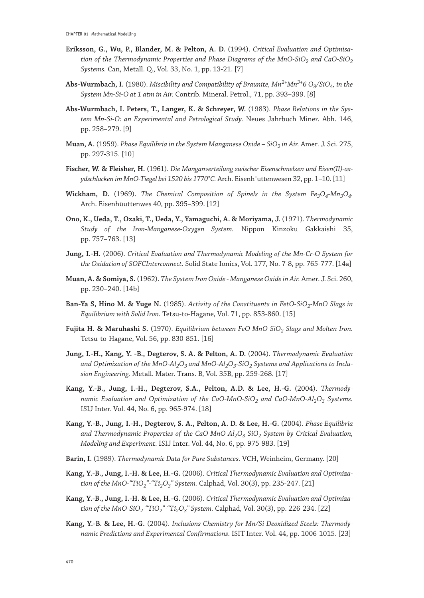- **Eriksson, G., Wu, P., Blander, M. & Pelton, A. D.** (1994). *Critical Evaluation and Optimisation of the Thermodynamic Properties and Phase Diagrams of the MnO-SiO<sub>2</sub> and CaO-SiO<sub>2</sub> Systems.* Can, Metall. Q., Vol. 33, No. 1, pp. 13-21. [7]
- Abs-Wurmbach, I. (1980). *Miscibility and Compatibility of Braunite*,  $Mn^{2+}Mn^{3+}6 O_8/SiO_4$ , in the *System Mn-Si-O at 1 atm in Air.* Contrib. Mineral. Petrol., 71, pp. 393–399. [8]
- **Abs-Wurmbach, I. Peters, T., Langer, K. & Schreyer, W.** (1983). *Phase Relations in the System Mn-Si-O: an Experimental and Petrological Study.* Neues Jahrbuch Miner. Abh. 146, pp. 258–279. [9]
- **Muan, A.** (1959). *Phase Equilibria in the System Manganese Oxide SiO<sub>2</sub> in Air. Amer. J. Sci. 275,* pp. 297-315. [10]
- **Fischer, W. & Fleisher, H.** (1961). *Die Manganverteilung zwischer Eisenschmelzen und Eisen(II)-oxydschlacken im MnO-Tiegel bei 1520 bis 1770°C.* Arch. Eisenh¨uttenwesen 32, pp. 1–10. [11]
- Wickham, D. (1969). *The Chemical Composition of Spinels in the System Fe<sub>3</sub>O<sub>4</sub>-Mn<sub>3</sub>O<sub>4</sub>.* Arch. Eisenhüuttenwes 40, pp. 395–399. [12]
- **Ono, K., Ueda, T., Ozaki, T., Ueda, Y., Yamaguchi, A. & Moriyama, J.** (1971). *Thermodynamic Study of the Iron-Manganese-Oxygen System.* Nippon Kinzoku Gakkaishi 35, pp. 757–763. [13]
- **Jung, I.-H.** (2006). *Critical Evaluation and Thermodynamic Modeling of the Mn-Cr-O System for the Oxidation of SOFCInterconnect.* Solid State Ionics, Vol. 177, No. 7-8, pp. 765-777. [14a]
- **Muan, A. & Somiya, S.** (1962). *The System Iron Oxide Manganese Oxide in Air.* Amer. J. Sci. 260, pp. 230–240. [14b]
- **Ban-Ya S, Hino M. & Yuge N.** (1985). Activity of the Constituents in FetO-SiO<sub>2</sub>-MnO Slags in *Equilibrium with Solid Iron.* Tetsu-to-Hagane, Vol. 71, pp. 853-860. [15]
- Fujita H. & Maruhashi S. (1970). *Equilibrium between FeO-MnO-SiO<sub>2</sub> Slags and Molten Iron.* Tetsu-to-Hagane, Vol. 56, pp. 830-851. [16]
- **Jung, I.-H., Kang, Y. -B., Degterov, S. A. & Pelton, A. D.** (2004). *Thermodynamic Evaluation*  and Optimization of the  $MnO-Al<sub>2</sub>O<sub>3</sub>$  and  $MnO-Al<sub>2</sub>O<sub>3</sub>-SiO<sub>2</sub>$  Systems and Applications to Inclu*sion Engineering.* Metall. Mater. Trans. B, Vol. 35B, pp. 259-268. [17]
- **Kang, Y.-B., Jung, I.-H., Degterov, S.A., Pelton, A.D. & Lee, H.-G.** (2004). *Thermodynamic Evaluation and Optimization of the CaO-MnO-SiO<sub>2</sub> and CaO-MnO-Al<sub>2</sub>O<sub>3</sub> Systems.* ISIJ Inter. Vol. 44, No. 6, pp. 965-974. [18]
- **Kang, Y.-B., Jung, I.-H., Degterov, S. A., Pelton, A. D. & Lee, H.-G.** (2004). *Phase Equilibria*  and Thermodynamic Properties of the CaO-MnO-Al<sub>2</sub>O<sub>3</sub>-SiO<sub>2</sub> System by Critical Evaluation, *Modeling and Experiment.* ISIJ Inter. Vol. 44, No. 6, pp. 975-983. [19]
- **Barin, I.** (1989). *Thermodynamic Data for Pure Substances.* VCH, Weinheim, Germany. [20]
- **Kang, Y.-B., Jung, I.-H. & Lee, H.-G.** (2006). *Critical Thermodynamic Evaluation and Optimization of the MnO-"TiO<sub>2</sub>"-"Ti<sub>2</sub>O<sub>3</sub>" System. Calphad, Vol. 30(3), pp. 235-247.* [21]
- **Kang, Y.-B., Jung, I.-H. & Lee, H.-G.** (2006). *Critical Thermodynamic Evaluation and Optimization of the MnO-SiO2-"TiO2"-"Ti2O3" System.* Calphad, Vol. 30(3), pp. 226-234. [22]
- **Kang, Y.-B. & Lee, H.-G.** (2004). *Inclusions Chemistry for Mn/Si Deoxidized Steels: Thermodynamic Predictions and Experimental Confirmations.* ISIT Inter. Vol. 44, pp. 1006-1015. [23]